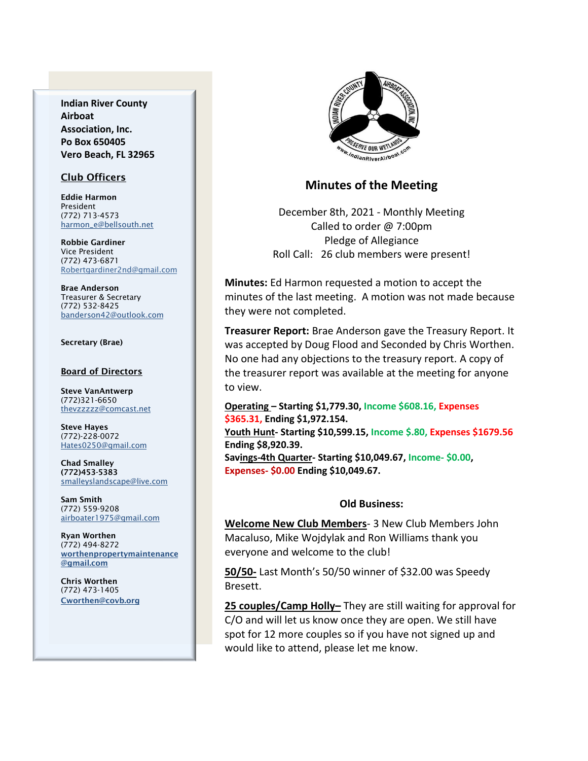**Indian River County Airboat Association, Inc. Po Box 650405 Vero Beach, FL 32965**

### Club Officers

Eddie Harmon President (772) 713-4573 [harmon\\_e@bellsouth.net](mailto:dougflood772@aol.com)

Robbie Gardiner Vice President (772) 473-6871 [Robertgardiner2nd@gmail.com](mailto:Robertgardiner2nd@gmail.com)

Brae Anderson Treasurer & Secretary (772) 532-8425 [banderson42@outlook.com](mailto:banderson42@outlook.com)

#### Secretary (Brae)

#### Board of Directors

Steve VanAntwerp (772)321-6650 [thevzzzzz@comcast.net](mailto:shufamil@peoplepc.com)

Steve Hayes (772)-228-0072 Hates0250@gmail.com

Chad Smalley (772)453-5383 smalleyslandscape@live.com

Sam Smith (772) 559-9208 [airboater1975@gmail.com](mailto:Airboater22@gmail.com)

Ryan Worthen (772) 494-8272 worthenpropertymaintenance @gmail.com

Chris Worthen (772) 473-1405 Cworthen@covb.org



## **Minutes of the Meeting**

December 8th, 2021 - Monthly Meeting Called to order @ 7:00pm Pledge of Allegiance Roll Call: 26 club members were present!

**Minutes:** Ed Harmon requested a motion to accept the minutes of the last meeting. A motion was not made because they were not completed.

**Treasurer Report:** Brae Anderson gave the Treasury Report. It was accepted by Doug Flood and Seconded by Chris Worthen. No one had any objections to the treasury report. A copy of the treasurer report was available at the meeting for anyone to view.

**Operating – Starting \$1,779.30, Income \$608.16, Expenses \$365.31, Ending \$1,972.154. Youth Hunt- Starting \$10,599.15, Income \$.80, Expenses \$1679.56**

**Ending \$8,920.39. Savings-4th Quarter- Starting \$10,049.67, Income- \$0.00,** 

**Expenses- \$0.00 Ending \$10,049.67.**

#### **Old Business:**

**Welcome New Club Members**- 3 New Club Members John Macaluso, Mike Wojdylak and Ron Williams thank you everyone and welcome to the club!

**50/50-** Last Month's 50/50 winner of \$32.00 was Speedy Bresett.

**25 couples/Camp Holly–** They are still waiting for approval for C/O and will let us know once they are open. We still have spot for 12 more couples so if you have not signed up and would like to attend, please let me know.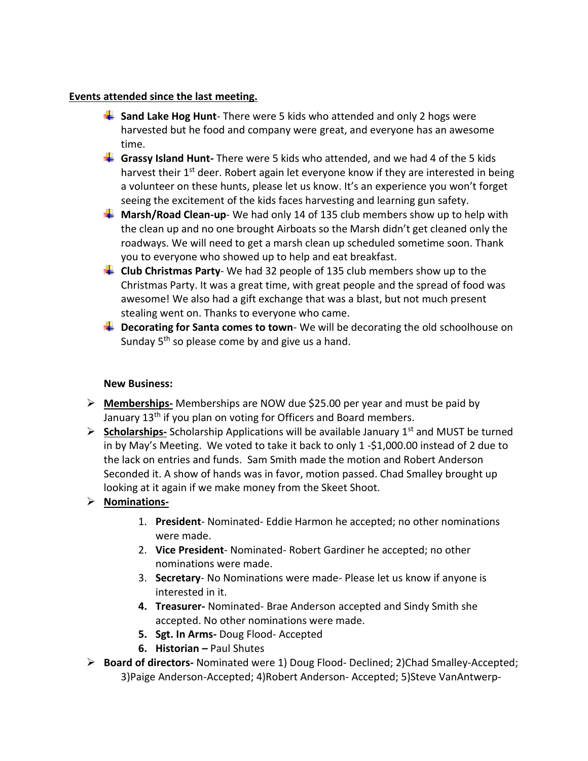### **Events attended since the last meeting.**

- **Sand Lake Hog Hunt**-There were 5 kids who attended and only 2 hogs were harvested but he food and company were great, and everyone has an awesome time.
- **Grassy Island Hunt-** There were 5 kids who attended, and we had 4 of the 5 kids harvest their 1<sup>st</sup> deer. Robert again let everyone know if they are interested in being a volunteer on these hunts, please let us know. It's an experience you won't forget seeing the excitement of the kids faces harvesting and learning gun safety.
- **Marsh/Road Clean-up** We had only 14 of 135 club members show up to help with the clean up and no one brought Airboats so the Marsh didn't get cleaned only the roadways. We will need to get a marsh clean up scheduled sometime soon. Thank you to everyone who showed up to help and eat breakfast.
- **Club Christmas Party** We had 32 people of 135 club members show up to the Christmas Party. It was a great time, with great people and the spread of food was awesome! We also had a gift exchange that was a blast, but not much present stealing went on. Thanks to everyone who came.
- **L** Decorating for Santa comes to town-We will be decorating the old schoolhouse on Sunday  $5<sup>th</sup>$  so please come by and give us a hand.

## **New Business:**

- ➢ **Memberships-** Memberships are NOW due \$25.00 per year and must be paid by January 13<sup>th</sup> if you plan on voting for Officers and Board members.
- ➢ **Scholarships-** Scholarship Applications will be available January 1st and MUST be turned in by May's Meeting. We voted to take it back to only  $1 - $1,000.00$  instead of 2 due to the lack on entries and funds. Sam Smith made the motion and Robert Anderson Seconded it. A show of hands was in favor, motion passed. Chad Smalley brought up looking at it again if we make money from the Skeet Shoot.

# ➢ **Nominations-**

- 1. **President** Nominated- Eddie Harmon he accepted; no other nominations were made.
- 2. **Vice President** Nominated- Robert Gardiner he accepted; no other nominations were made.
- 3. **Secretary** No Nominations were made- Please let us know if anyone is interested in it.
- **4. Treasurer-** Nominated- Brae Anderson accepted and Sindy Smith she accepted. No other nominations were made.
- **5. Sgt. In Arms-** Doug Flood- Accepted
- **6. Historian** Paul Shutes
- ➢ **Board of directors-** Nominated were 1) Doug Flood- Declined; 2)Chad Smalley-Accepted; 3)Paige Anderson-Accepted; 4)Robert Anderson- Accepted; 5)Steve VanAntwerp-